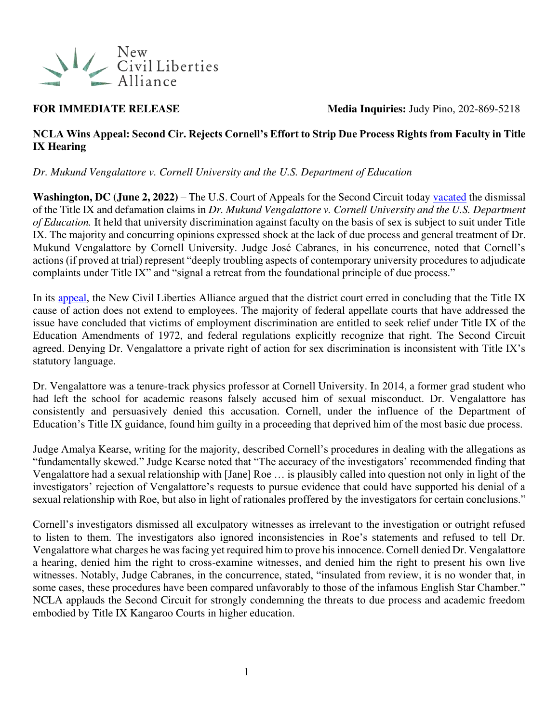

**FOR IMMEDIATE RELEASE** Media Inquiries: [Judy Pino,](mailto:judy.pino@ncla.legal) 202-869-5218

### **NCLA Wins Appeal: Second Cir. Rejects Cornell's Effort to Strip Due Process Rights from Faculty in Title IX Hearing**

*Dr. Mukund Vengalattore v. Cornell University and the U.S. Department of Education* 

**Washington, DC (June 2, 2022)** – The U.S. Court of Appeals for the Second Circuit today [vacated](https://nclalegal.org/wp-content/uploads/2022/06/20-1514_complete_opn.pdf) the dismissal of the Title IX and defamation claims in *Dr. Mukund Vengalattore v. Cornell University and the U.S. Department of Education.* It held that university discrimination against faculty on the basis of sex is subject to suit under Title IX. The majority and concurring opinions expressed shock at the lack of due process and general treatment of Dr. Mukund Vengalattore by Cornell University. Judge José Cabranes, in his concurrence, noted that Cornell's actions (if proved at trial) represent "deeply troubling aspects of contemporary university procedures to adjudicate complaints under Title IX" and "signal a retreat from the foundational principle of due process."

In its [appeal,](https://nclalegal.org/wp-content/uploads/2020/08/Vengalattore-v.-ED-Opening-Brief.pdf) the New Civil Liberties Alliance argued that the district court erred in concluding that the Title IX cause of action does not extend to employees. The majority of federal appellate courts that have addressed the issue have concluded that victims of employment discrimination are entitled to seek relief under Title IX of the Education Amendments of 1972, and federal regulations explicitly recognize that right. The Second Circuit agreed. Denying Dr. Vengalattore a private right of action for sex discrimination is inconsistent with Title IX's statutory language.

Dr. Vengalattore was a tenure-track physics professor at Cornell University. In 2014, a former grad student who had left the school for academic reasons falsely accused him of sexual misconduct. Dr. Vengalattore has consistently and persuasively denied this accusation. Cornell, under the influence of the Department of Education's Title IX guidance, found him guilty in a proceeding that deprived him of the most basic due process.

Judge Amalya Kearse, writing for the majority, described Cornell's procedures in dealing with the allegations as "fundamentally skewed." Judge Kearse noted that "The accuracy of the investigators' recommended finding that Vengalattore had a sexual relationship with [Jane] Roe … is plausibly called into question not only in light of the investigators' rejection of Vengalattore's requests to pursue evidence that could have supported his denial of a sexual relationship with Roe, but also in light of rationales proffered by the investigators for certain conclusions."

Cornell's investigators dismissed all exculpatory witnesses as irrelevant to the investigation or outright refused to listen to them. The investigators also ignored inconsistencies in Roe's statements and refused to tell Dr. Vengalattore what charges he was facing yet required him to prove his innocence. Cornell denied Dr. Vengalattore a hearing, denied him the right to cross-examine witnesses, and denied him the right to present his own live witnesses. Notably, Judge Cabranes, in the concurrence, stated, "insulated from review, it is no wonder that, in some cases, these procedures have been compared unfavorably to those of the infamous English Star Chamber." NCLA applauds the Second Circuit for strongly condemning the threats to due process and academic freedom embodied by Title IX Kangaroo Courts in higher education.